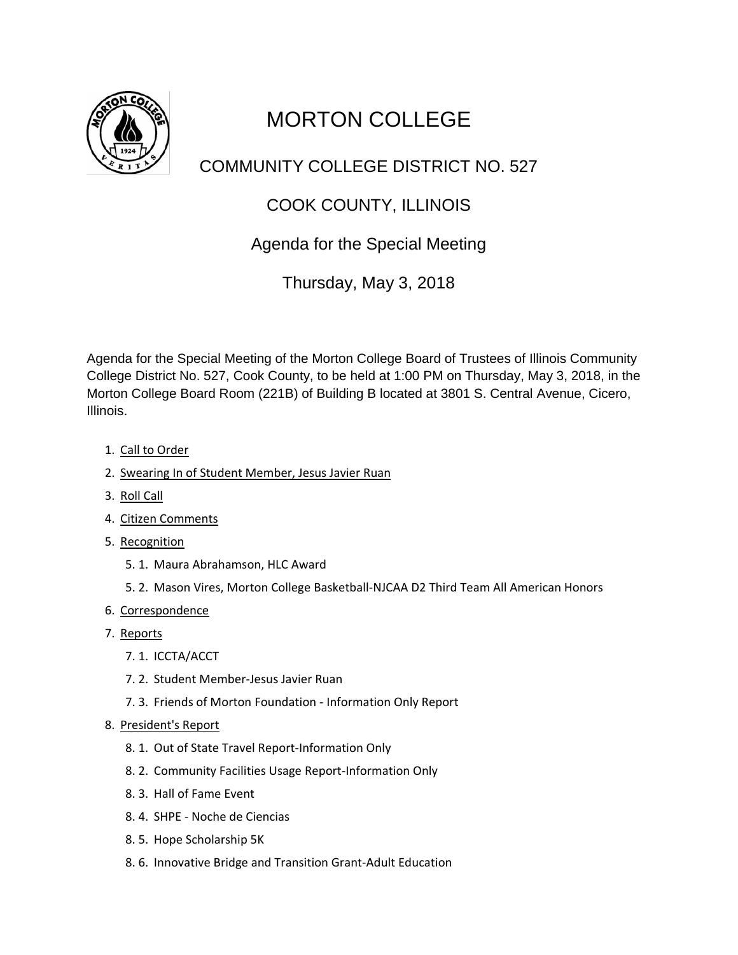

# MORTON COLLEGE

## COMMUNITY COLLEGE DISTRICT NO. 527

## COOK COUNTY, ILLINOIS

#### Agenda for the Special Meeting

Thursday, May 3, 2018

Agenda for the Special Meeting of the Morton College Board of Trustees of Illinois Community College District No. 527, Cook County, to be held at 1:00 PM on Thursday, May 3, 2018, in the Morton College Board Room (221B) of Building B located at 3801 S. Central Avenue, Cicero, Illinois.

- 1. Call to Order
- 2. Swearing In of Student Member, Jesus Javier Ruan
- 3. Roll Call
- 4. Citizen Comments
- 5. Recognition
	- 5. 1. Maura Abrahamson, HLC Award
	- 5. 2. Mason Vires, Morton College Basketball-NJCAA D2 Third Team All American Honors
- 6. Correspondence
- 7. Reports
	- 7. 1. ICCTA/ACCT
	- 7. 2. Student Member-Jesus Javier Ruan
	- 7. 3. Friends of Morton Foundation Information Only Report
- 8. President's Report
	- 8. 1. Out of State Travel Report-Information Only
	- 8. 2. Community Facilities Usage Report-Information Only
	- 8. 3. Hall of Fame Event
	- 8. 4. SHPE Noche de Ciencias
	- 8. 5. Hope Scholarship 5K
	- 8. 6. Innovative Bridge and Transition Grant-Adult Education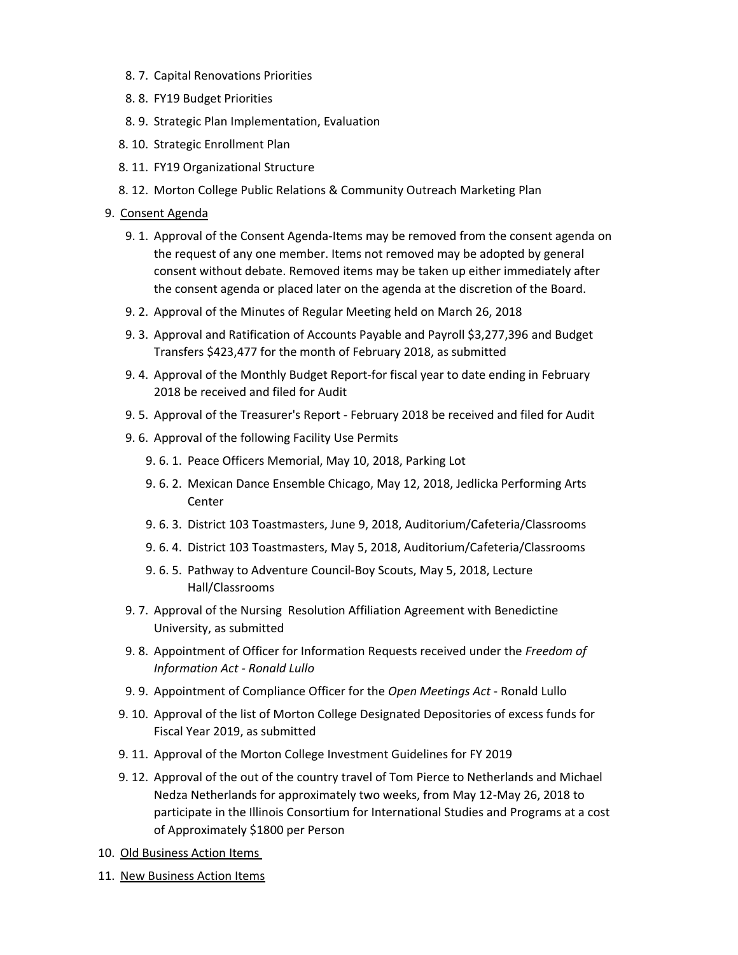- 8. 7. Capital Renovations Priorities
- 8. 8. FY19 Budget Priorities
- 8. 9. Strategic Plan Implementation, Evaluation
- 8. 10. Strategic Enrollment Plan
- 8. 11. FY19 Organizational Structure
- 8. 12. Morton College Public Relations & Community Outreach Marketing Plan

#### 9. Consent Agenda

- 9. 1. Approval of the Consent Agenda-Items may be removed from the consent agenda on the request of any one member. Items not removed may be adopted by general consent without debate. Removed items may be taken up either immediately after the consent agenda or placed later on the agenda at the discretion of the Board.
- 9. 2. Approval of the Minutes of Regular Meeting held on March 26, 2018
- 9. 3. Approval and Ratification of Accounts Payable and Payroll \$3,277,396 and Budget Transfers \$423,477 for the month of February 2018, as submitted
- 9. 4. Approval of the Monthly Budget Report-for fiscal year to date ending in February 2018 be received and filed for Audit
- 9. 5. Approval of the Treasurer's Report February 2018 be received and filed for Audit
- 9. 6. Approval of the following Facility Use Permits
	- 9. 6. 1. Peace Officers Memorial, May 10, 2018, Parking Lot
	- 9. 6. 2. Mexican Dance Ensemble Chicago, May 12, 2018, Jedlicka Performing Arts **Center**
	- 9. 6. 3. District 103 Toastmasters, June 9, 2018, Auditorium/Cafeteria/Classrooms
	- 9. 6. 4. District 103 Toastmasters, May 5, 2018, Auditorium/Cafeteria/Classrooms
	- 9. 6. 5. Pathway to Adventure Council-Boy Scouts, May 5, 2018, Lecture Hall/Classrooms
- 9. 7. Approval of the Nursing Resolution Affiliation Agreement with Benedictine University, as submitted
- 9. 8. Appointment of Officer for Information Requests received under the *Freedom of Information Act - Ronald Lullo*
- 9. 9. Appointment of Compliance Officer for the *Open Meetings Act* Ronald Lullo
- 9. 10. Approval of the list of Morton College Designated Depositories of excess funds for Fiscal Year 2019, as submitted
- 9. 11. Approval of the Morton College Investment Guidelines for FY 2019
- 9. 12. Approval of the out of the country travel of Tom Pierce to Netherlands and Michael Nedza Netherlands for approximately two weeks, from May 12-May 26, 2018 to participate in the Illinois Consortium for International Studies and Programs at a cost of Approximately \$1800 per Person
- 10. Old Business Action Items
- 11. New Business Action Items